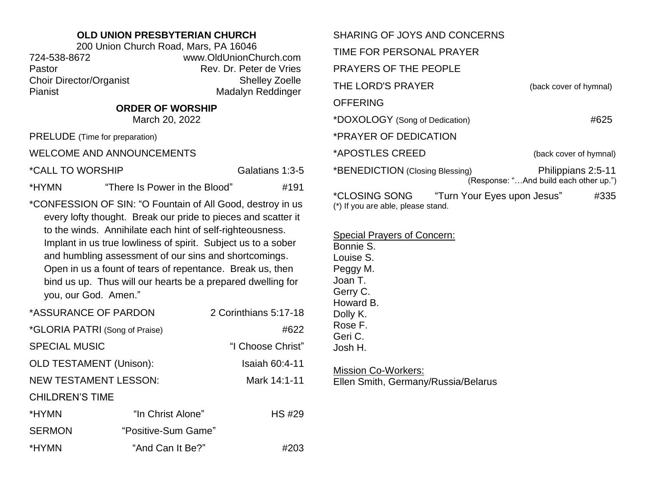## **OLD UNION PRESBYTERIAN CHURCH**

200 Union Church Road, Mars, PA 16046 724-538-8672 www.OldUnionChurch.com Pastor **Pastor** Rev. Dr. Peter de Vries Choir Director/Organist Shelley Zoelle Pianist Madalyn Reddinger

## **ORDER OF WORSHIP**

March 20, 2022

PRELUDE (Time for preparation)

WELCOME AND ANNOUNCEMENTS

\*CALL TO WORSHIP Galatians 1:3-5

\*HYMN "There Is Power in the Blood" #191

\*CONFESSION OF SIN: "O Fountain of All Good, destroy in us every lofty thought. Break our pride to pieces and scatter it to the winds. Annihilate each hint of self-righteousness. Implant in us true lowliness of spirit. Subject us to a sober and humbling assessment of our sins and shortcomings. Open in us a fount of tears of repentance. Break us, then bind us up. Thus will our hearts be a prepared dwelling for you, our God. Amen."

| *ASSURANCE OF PARDON           |                     | 2 Corinthians 5:17-18 |
|--------------------------------|---------------------|-----------------------|
| *GLORIA PATRI (Song of Praise) |                     | #622                  |
| <b>SPECIAL MUSIC</b>           |                     | "I Choose Christ"     |
| <b>OLD TESTAMENT (Unison):</b> |                     | Isaiah 60:4-11        |
| <b>NEW TESTAMENT LESSON:</b>   |                     | Mark 14:1-11          |
| <b>CHILDREN'S TIME</b>         |                     |                       |
| *HYMN                          | "In Christ Alone"   | <b>HS #29</b>         |
| <b>SERMON</b>                  | "Positive-Sum Game" |                       |
| *HYMN                          | "And Can It Be?"    | #203                  |

| SHARING OF JOYS AND CONCERNS                        |                             |                                                              |
|-----------------------------------------------------|-----------------------------|--------------------------------------------------------------|
| TIME FOR PERSONAL PRAYER                            |                             |                                                              |
| <b>PRAYERS OF THE PEOPLE</b>                        |                             |                                                              |
| THE LORD'S PRAYER                                   |                             | (back cover of hymnal)                                       |
| <b>OFFERING</b>                                     |                             |                                                              |
| *DOXOLOGY (Song of Dedication)                      |                             | #625                                                         |
| *PRAYER OF DEDICATION                               |                             |                                                              |
| *APOSTLES CREED                                     |                             | (back cover of hymnal)                                       |
| *BENEDICTION (Closing Blessing)                     |                             | Philippians 2:5-11<br>(Response: "And build each other up.") |
| *CLOSING SONG<br>(*) If you are able, please stand. | "Turn Your Eyes upon Jesus" | #335                                                         |

Special Prayers of Concern:

Bonnie S. Louise S. Peggy M. Joan T. Gerry C. Howard B. Dolly K. Rose F. Geri C. Josh H.

Mission Co-Workers: Ellen Smith, Germany/Russia/Belarus